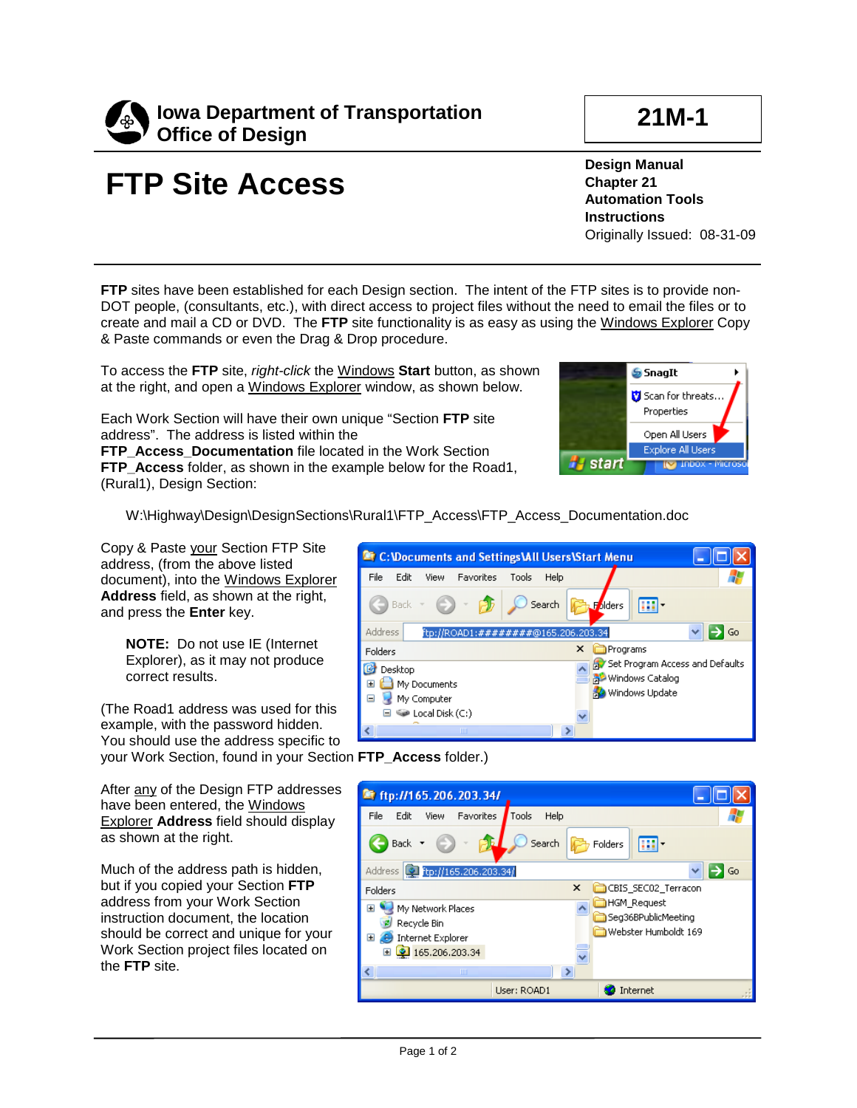

## **FTP Site Access**

**Design Manual Chapter 21 Automation Tools Instructions** Originally Issued: 08-31-09

**FTP** sites have been established for each Design section. The intent of the FTP sites is to provide non-DOT people, (consultants, etc.), with direct access to project files without the need to email the files or to create and mail a CD or DVD. The **FTP** site functionality is as easy as using the Windows Explorer Copy & Paste commands or even the Drag & Drop procedure.

To access the **FTP** site, *right-click* the Windows **Start** button, as shown at the right, and open a Windows Explorer window, as shown below.

Each Work Section will have their own unique "Section **FTP** site address". The address is listed within the

**FTP\_Access\_Documentation** file located in the Work Section **FTP** Access folder, as shown in the example below for the Road1, (Rural1), Design Section:



W:\Highway\Design\DesignSections\Rural1\FTP\_Access\FTP\_Access\_Documentation.doc

Copy & Paste your Section FTP Site address, (from the above listed document), into the Windows Explorer **Address** field, as shown at the right, and press the **Enter** key.

> **NOTE:** Do not use IE (Internet Explorer), as it may not produce correct results.

(The Road1 address was used for this example, with the password hidden. You should use the address specific to your Work Section, found in your Section **FTP\_Access** folder.)

After any of the Design FTP addresses have been entered, the Windows Explorer **Address** field should display as shown at the right.

Much of the address path is hidden, but if you copied your Section **FTP** address from your Work Section instruction document, the location should be correct and unique for your Work Section project files located on the **FTP** site.



| ftp://165.206.203.34/                                                                         |                                                                   |  |
|-----------------------------------------------------------------------------------------------|-------------------------------------------------------------------|--|
| File<br>Edit<br>View<br>Favorites                                                             | Tools<br>Help                                                     |  |
| <b>Back</b>                                                                                   | Search<br>画<br>Folders                                            |  |
| [C] ftp://165.206.203.34/<br>Address                                                          | Go                                                                |  |
| <b>Folders</b>                                                                                | ×<br>CBIS_SEC02_Terracon                                          |  |
| My Network Places<br>Ŧ<br>Recycle Bin<br>Internet Explorer<br>Ŧ<br>٠<br>2 165.206.203.34<br>Ŧ | <b>HGM Request</b><br>Seg36BPublicMeeting<br>Webster Humboldt 169 |  |
| ШI                                                                                            | Y.                                                                |  |
|                                                                                               | Internet<br>User: ROAD1                                           |  |